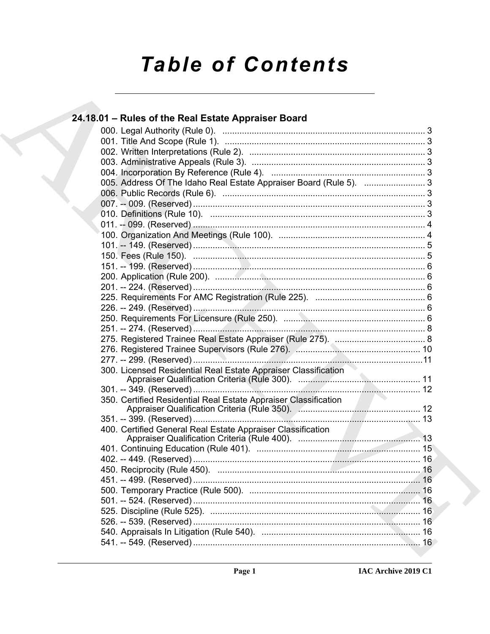# **Table of Contents**

### 24.18.01 – Rules of the Real Estate Appraiser Board 005. Address Of The Idaho Real Estate Appraiser Board (Rule 5). ................................3 300. Licensed Residential Real Estate Appraiser Classification 350. Certified Residential Real Estate Appraiser Classification 400. Certified General Real Estate Appraiser Classification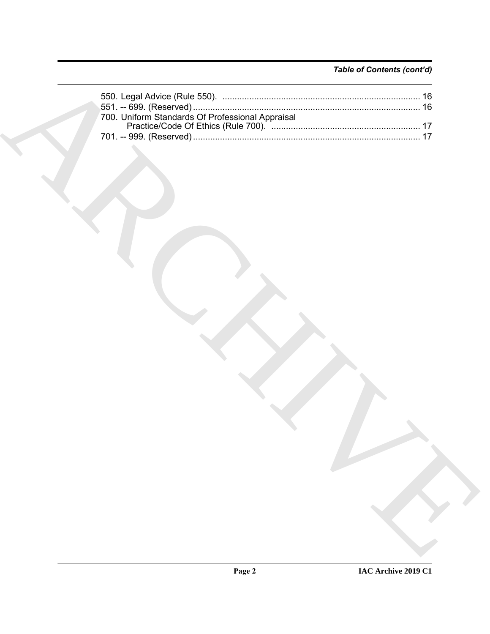### *Table of Contents (cont'd)*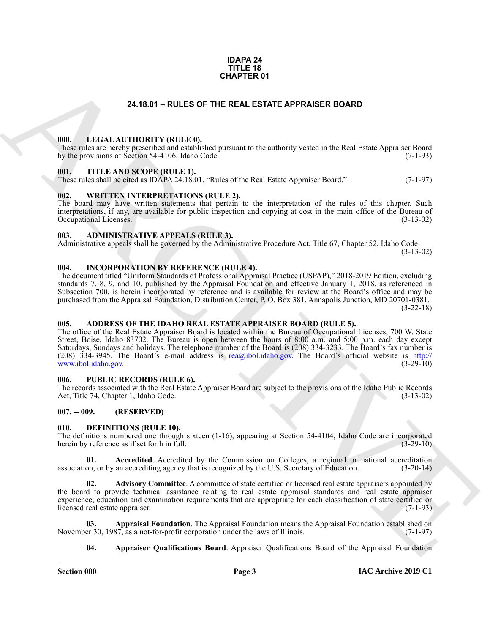#### **IDAPA 24 TITLE 18 CHAPTER 01**

### **24.18.01 – RULES OF THE REAL ESTATE APPRAISER BOARD**

#### <span id="page-2-18"></span><span id="page-2-1"></span><span id="page-2-0"></span>**000. LEGAL AUTHORITY (RULE 0).**

These rules are hereby prescribed and established pursuant to the authority vested in the Real Estate Appraiser Board by the provisions of Section 54-4106, Idaho Code. (7-1-93)

#### <span id="page-2-20"></span><span id="page-2-2"></span>**001. TITLE AND SCOPE (RULE 1).**

These rules shall be cited as IDAPA 24.18.01, "Rules of the Real Estate Appraiser Board." (7-1-97)

#### <span id="page-2-21"></span><span id="page-2-3"></span>**002. WRITTEN INTERPRETATIONS (RULE 2).**

The board may have written statements that pertain to the interpretation of the rules of this chapter. Such interpretations, if any, are available for public inspection and copying at cost in the main office of the Bureau of Occupational Licenses. (3-13-02) Occupational Licenses.

#### <span id="page-2-11"></span><span id="page-2-4"></span>**003. ADMINISTRATIVE APPEALS (RULE 3).**

Administrative appeals shall be governed by the Administrative Procedure Act, Title 67, Chapter 52, Idaho Code. (3-13-02)

#### <span id="page-2-17"></span><span id="page-2-5"></span>**004. INCORPORATION BY REFERENCE (RULE 4).**

The document titled "Uniform Standards of Professional Appraisal Practice (USPAP)," 2018-2019 Edition, excluding standards 7, 8, 9, and 10, published by the Appraisal Foundation and effective January 1, 2018, as referenced in Subsection 700, is herein incorporated by reference and is available for review at the Board's office and may be purchased from the Appraisal Foundation, Distribution Center, P. O. Box 381, Annapolis Junction, MD 20701-0381. (3-22-18)

### <span id="page-2-10"></span><span id="page-2-6"></span>**005. ADDRESS OF THE IDAHO REAL ESTATE APPRAISER BOARD (RULE 5).**

**24.16.01 – RULES OF THE REAL ESTATE APPRAISER BOARD<br>
1996.** LEGAL ALTITORITY (RULE P).<br>
1996. THE ANS SCOPE (RULE P).<br>
1996. THE ANS SCOPE (RULE P).<br>
1996. THE ANS SCOPE (RULE P).<br>
1996. THE ANS SCOPE (RULE P).<br>
1996. TH The office of the Real Estate Appraiser Board is located within the Bureau of Occupational Licenses, 700 W. State Street, Boise, Idaho 83702. The Bureau is open between the hours of 8:00 a.m. and 5:00 p.m. each day except Saturdays, Sundays and holidays. The telephone number of the Board is (208) 334-3233. The Board's fax number is (208) 334-3945. The Board's e-mail address is rea@ibol.idaho.gov. The Board's official website is http:// ww.ibol.idaho.gov. (3-29-10)

#### <span id="page-2-19"></span><span id="page-2-7"></span>**006. PUBLIC RECORDS (RULE 6).**

The records associated with the Real Estate Appraiser Board are subject to the provisions of the Idaho Public Records Act, Title 74, Chapter 1, Idaho Code. (3-13-02)

### <span id="page-2-8"></span>**007. -- 009. (RESERVED)**

#### <span id="page-2-12"></span><span id="page-2-9"></span>**010. DEFINITIONS (RULE 10).**

The definitions numbered one through sixteen (1-16), appearing at Section 54-4104, Idaho Code are incorporated herein by reference as if set forth in full. (3-29-10) herein by reference as if set forth in full.

<span id="page-2-13"></span>**01. Accredited**. Accredited by the Commission on Colleges, a regional or national accreditation association, or by an accrediting agency that is recognized by the U.S. Secretary of Education. (3-20-14)

<span id="page-2-14"></span>**02. Advisory Committee**. A committee of state certified or licensed real estate appraisers appointed by the board to provide technical assistance relating to real estate appraisal standards and real estate appraiser experience, education and examination requirements that are appropriate for each classification of state certified or licensed real estate appraiser. (7-1-93) licensed real estate appraiser.

**03. Appraisal Foundation**. The Appraisal Foundation means the Appraisal Foundation established on November 30, 1987, as a not-for-profit corporation under the laws of Illinois. (7-1-97)

<span id="page-2-16"></span><span id="page-2-15"></span>**04. Appraiser Qualifications Board**. Appraiser Qualifications Board of the Appraisal Foundation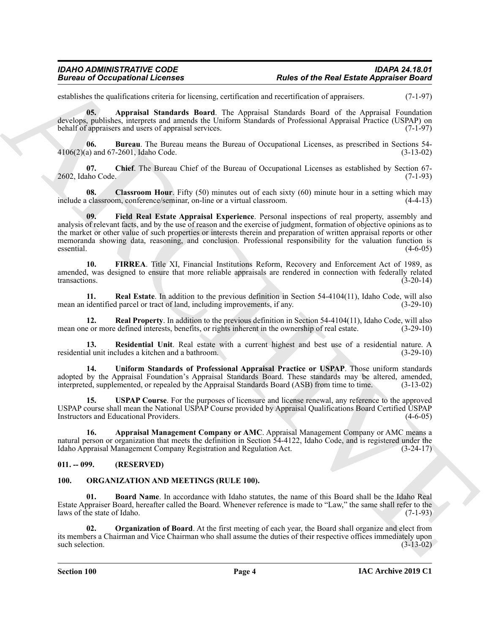establishes the qualifications criteria for licensing, certification and recertification of appraisers. (7-1-97)

<span id="page-3-3"></span>**05. Appraisal Standards Board**. The Appraisal Standards Board of the Appraisal Foundation develops, publishes, interprets and amends the Uniform Standards of Professional Appraisal Practice (USPAP) on behalf of appraisers and users of appraisal services. (7-1-97)

<span id="page-3-4"></span>**06. Bureau**. The Bureau means the Bureau of Occupational Licenses, as prescribed in Sections 54- 4106(2)(a) and 67-2601, Idaho Code. (3-13-02)

<span id="page-3-5"></span>**07. Chief**. The Bureau Chief of the Bureau of Occupational Licenses as established by Section 67- 2602, Idaho Code. (7-1-93)

<span id="page-3-7"></span><span id="page-3-6"></span>**08. Classroom Hour**. Fifty (50) minutes out of each sixty (60) minute hour in a setting which may include a classroom, conference/seminar, on-line or a virtual classroom. (4-4-13)

Bureau of Occupations I. Learnes R. Males of the Real Easte Appearance Books control to the Southern state of the Architecture of the Southern State Control (1949)<br>
And Real Action State Control in the Architecture of the **09. Field Real Estate Appraisal Experience**. Personal inspections of real property, assembly and analysis of relevant facts, and by the use of reason and the exercise of judgment, formation of objective opinions as to the market or other value of such properties or interests therein and preparation of written appraisal reports or other memoranda showing data, reasoning, and conclusion. Professional responsibility for the valuation function is essential. (4-6-05)

<span id="page-3-8"></span>**10. FIRREA**. Title XI, Financial Institutions Reform, Recovery and Enforcement Act of 1989, as amended, was designed to ensure that more reliable appraisals are rendered in connection with federally related transactions. (3-20-14)

<span id="page-3-9"></span>**11. Real Estate**. In addition to the previous definition in Section 54-4104(11), Idaho Code, will also mean an identified parcel or tract of land, including improvements, if any. (3-29-10)

<span id="page-3-10"></span>**12. Real Property**. In addition to the previous definition in Section 54-4104(11), Idaho Code, will also mean one or more defined interests, benefits, or rights inherent in the ownership of real estate. (3-29-10)

<span id="page-3-11"></span>**13. Residential Unit**. Real estate with a current highest and best use of a residential nature. A residential unit includes a kitchen and a bathroom. (3-29-10)

<span id="page-3-12"></span>**14. Uniform Standards of Professional Appraisal Practice or USPAP**. Those uniform standards adopted by the Appraisal Foundation's Appraisal Standards Board. These standards may be altered, amended, interpreted, supplemented, or repealed by the Appraisal Standards Board (ASB) from time to time. (3-13-02)

<span id="page-3-13"></span>**15. USPAP Course**. For the purposes of licensure and license renewal, any reference to the approved USPAP course shall mean the National USPAP Course provided by Appraisal Qualifications Board Certified USPAP Instructors and Educational Providers. (4-6-05)

<span id="page-3-2"></span>**16. Appraisal Management Company or AMC**. Appraisal Management Company or AMC means a natural person or organization that meets the definition in Section 54-4122, Idaho Code, and is registered under the Idaho Appraisal Management Company Registration and Regulation Act. (3-24-17)

### <span id="page-3-0"></span>**011. -- 099. (RESERVED)**

### <span id="page-3-14"></span><span id="page-3-1"></span>**100. ORGANIZATION AND MEETINGS (RULE 100).**

<span id="page-3-15"></span>**01. Board Name**. In accordance with Idaho statutes, the name of this Board shall be the Idaho Real Estate Appraiser Board, hereafter called the Board. Whenever reference is made to "Law," the same shall refer to the laws of the state of Idaho.

<span id="page-3-16"></span>**02. Organization of Board**. At the first meeting of each year, the Board shall organize and elect from its members a Chairman and Vice Chairman who shall assume the duties of their respective offices immediately upon such selection. (3-13-02)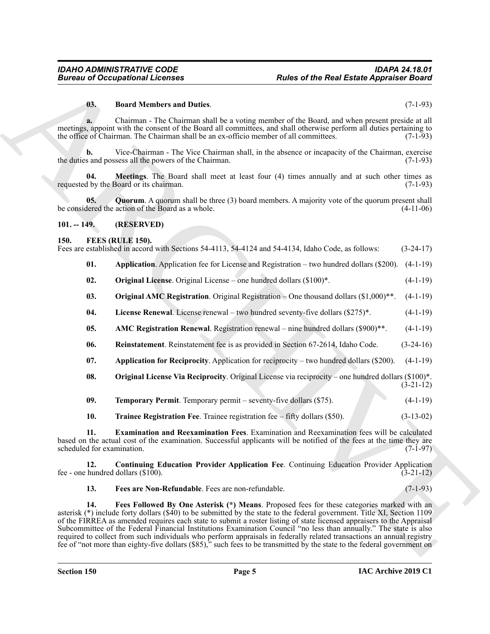#### <span id="page-4-17"></span>**03. Board Members and Duties**. (7-1-93)

**a.** Chairman - The Chairman shall be a voting member of the Board, and when present preside at all meetings, appoint with the consent of the Board all committees, and shall otherwise perform all duties pertaining to the office of Chairman. The Chairman shall be an ex-officio member of all committees. (7-1-93)

**b.** Vice-Chairman - The Vice Chairman shall, in the absence or incapacity of the Chairman, exercise the duties and possess all the powers of the Chairman. (7-1-93)

<span id="page-4-18"></span>**04. Meetings**. The Board shall meet at least four (4) times annually and at such other times as requested by the Board or its chairman. (7-1-93)

<span id="page-4-19"></span>**05. Quorum**. A quorum shall be three (3) board members. A majority vote of the quorum present shall be considered the action of the Board as a whole. (4-11-06)

#### <span id="page-4-0"></span>**101. -- 149. (RESERVED)**

#### <span id="page-4-2"></span><span id="page-4-1"></span>**150. FEES (RULE 150).**

| Fees are established in accord with Sections 54-4113, 54-4124 and 54-4134, Idaho Code, as follows:<br>$(3-24-17)$ |  |  |  |  |  |
|-------------------------------------------------------------------------------------------------------------------|--|--|--|--|--|
|-------------------------------------------------------------------------------------------------------------------|--|--|--|--|--|

- <span id="page-4-4"></span>**01. Application**. Application fee for License and Registration – two hundred dollars (\$200). (4-1-19)
- <span id="page-4-12"></span>**02. Original License**. Original License – one hundred dollars (\$100)\*. (4-1-19)
- <span id="page-4-11"></span>**03. Original AMC Registration**. Original Registration – One thousand dollars (\$1,000)\*\*. (4-1-19)
- <span id="page-4-10"></span>**04.** License Renewal. License renewal – two hundred seventy-five dollars (\$275)\*. (4-1-19)
- <span id="page-4-3"></span>**05. AMC Registration Renewal**. Registration renewal – nine hundred dollars (\$900)\*\*. (4-1-19)
- <span id="page-4-14"></span>**06. Reinstatement**. Reinstatement fee is as provided in Section 67-2614, Idaho Code. (3-24-16)
- <span id="page-4-5"></span>**07.** Application for Reciprocity. Application for reciprocity – two hundred dollars (\$200).  $(4-1-19)$
- <span id="page-4-13"></span>**08. Original License Via Reciprocity**. Original License via reciprocity – one hundred dollars (\$100)\*. (3-21-12)

<span id="page-4-15"></span>

| 09. | <b>Temporary Permit.</b> Temporary permit – seventy-five dollars (\$75). |  |  | $(4-1-19)$ |
|-----|--------------------------------------------------------------------------|--|--|------------|
|     |                                                                          |  |  |            |

<span id="page-4-16"></span><span id="page-4-7"></span>**10. Trainee Registration Fee**. Trainee registration fee – fifty dollars (\$50). (3-13-02)

**11. Examination and Reexamination Fees**. Examination and Reexamination fees will be calculated based on the actual cost of the examination. Successful applicants will be notified of the fees at the time they are scheduled for examination. (7-1-97)

**12. Continuing Education Provider Application Fee**. Continuing Education Provider Application fee - one hundred dollars  $(\$100)$ .  $(3-21-12)$ 

<span id="page-4-9"></span><span id="page-4-8"></span><span id="page-4-6"></span>**13. Fees are Non-Refundable**. Fees are non-refundable. (7-1-93)

**Europe of Occupations I. Fourth and Duties.**<br> **But of the Real Easts Appensive Road**<br> **But of Members and Duties.**<br> **But of Members and Duties**<br> **ARCHIVE CONTINE TO ANTIFICATION** CONTINUES A symmetric and plus Convenienc **14. Fees Followed By One Asterisk (\*) Means**. Proposed fees for these categories marked with an asterisk (\*) include forty dollars (\$40) to be submitted by the state to the federal government. Title XI, Section 1109 of the FIRREA as amended requires each state to submit a roster listing of state licensed appraisers to the Appraisal Subcommittee of the Federal Financial Institutions Examination Council "no less than annually." The state is also required to collect from such individuals who perform appraisals in federally related transactions an annual registry fee of "not more than eighty-five dollars (\$85)," such fees to be transmitted by the state to the federal government on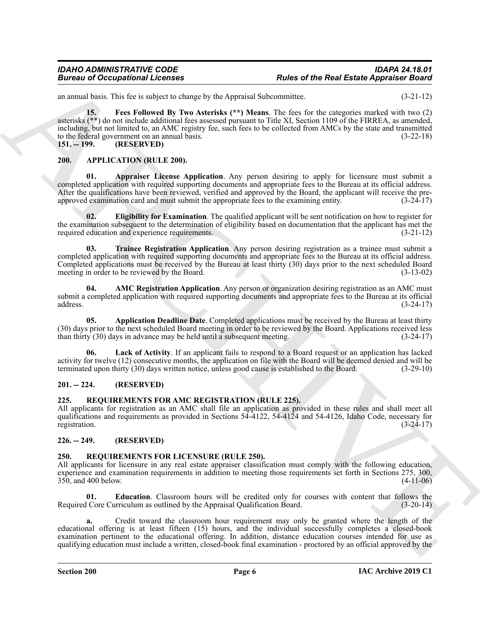### *IDAHO ADMINISTRATIVE CODE IDAPA 24.18.01* **Rules of the Real Estate Appraiser Board**

<span id="page-5-13"></span>an annual basis. This fee is subject to change by the Appraisal Subcommittee. (3-21-12)

Bureau of Occupations I Leonards<br>
The case of the Real Easter Appearing Road<br>
Contract the K-19 state of the Marchives Contract the Section Contract the Contract of the Marchives Contract the Contract of the Contract of t **15. Fees Followed By Two Asterisks (\*\*) Means**. The fees for the categories marked with two (2) asterisks (\*\*) do not include additional fees assessed pursuant to Title XI, Section 1109 of the FIRREA, as amended, including, but not limited to, an AMC registry fee, such fees to be collected from AMCs by the state and transmitted to the federal government on an annual basis.  $(3-22-18)$ <br>151. -- 199.  $(RESERVED)$ 

<span id="page-5-0"></span>**151. -- 199. (RESERVED)**

#### <span id="page-5-9"></span><span id="page-5-6"></span><span id="page-5-1"></span>**200. APPLICATION (RULE 200).**

**01. Appraiser License Application**. Any person desiring to apply for licensure must submit a completed application with required supporting documents and appropriate fees to the Bureau at its official address. After the qualifications have been reviewed, verified and approved by the Board, the applicant will receive the preapproved examination card and must submit the appropriate fees to the examining entity. (3-24-17)

<span id="page-5-10"></span>**02. Eligibility for Examination**. The qualified applicant will be sent notification on how to register for the examination subsequent to the determination of eligibility based on documentation that the applicant has met the required education and experience requirements. (3-21-12)

<span id="page-5-12"></span>**03. Trainee Registration Application**. Any person desiring registration as a trainee must submit a completed application with required supporting documents and appropriate fees to the Bureau at its official address. Completed applications must be received by the Bureau at least thirty (30) days prior to the next scheduled Board meeting in order to be reviewed by the Board. (3-13-02) meeting in order to be reviewed by the Board.

<span id="page-5-7"></span>**04. AMC Registration Application**. Any person or organization desiring registration as an AMC must submit a completed application with required supporting documents and appropriate fees to the Bureau at its official  $address.$  (3-24-17)

<span id="page-5-8"></span>**05. Application Deadline Date**. Completed applications must be received by the Bureau at least thirty (30) days prior to the next scheduled Board meeting in order to be reviewed by the Board. Applications received less than thirty (30) days in advance may be held until a subsequent meeting. (3-24-17) than thirty  $(30)$  days in advance may be held until a subsequent meeting.

<span id="page-5-11"></span>Lack of Activity. If an applicant fails to respond to a Board request or an application has lacked activity for twelve (12) consecutive months, the application on file with the Board will be deemed denied and will be terminated upon thirty (30) days written notice, unless good cause is established to the Board. (3-29-10 terminated upon thirty  $(30)$  days written notice, unless good cause is established to the Board.

### <span id="page-5-2"></span>**201. -- 224. (RESERVED)**

### <span id="page-5-14"></span><span id="page-5-3"></span>**225. REQUIREMENTS FOR AMC REGISTRATION (RULE 225).**

All applicants for registration as an AMC shall file an application as provided in these rules and shall meet all qualifications and requirements as provided in Sections 54-4122, 54-4124 and 54-4126, Idaho Code, necessary for registration. (3-24-17)

### <span id="page-5-4"></span>**226. -- 249. (RESERVED)**

### <span id="page-5-15"></span><span id="page-5-5"></span>**250. REQUIREMENTS FOR LICENSURE (RULE 250).**

All applicants for licensure in any real estate appraiser classification must comply with the following education, experience and examination requirements in addition to meeting those requirements set forth in Sections 275, 300,  $350$ , and  $400$  below. (4-11-06)

<span id="page-5-16"></span>**01. Education**. Classroom hours will be credited only for courses with content that follows the Required Core Curriculum as outlined by the Appraisal Qualification Board. (3-20-14)

**a.** Credit toward the classroom hour requirement may only be granted where the length of the educational offering is at least fifteen (15) hours, and the individual successfully completes a closed-book examination pertinent to the educational offering. In addition, distance education courses intended for use as qualifying education must include a written, closed-book final examination - proctored by an official approved by the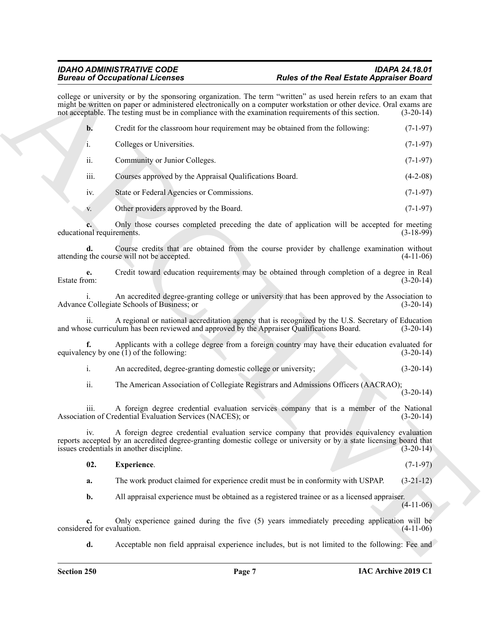<span id="page-6-0"></span>

|                                  | <b>Bureau of Occupational Licenses</b>                                                                                                                                                                                                                                                                                                          | <b>Rules of the Real Estate Appraiser Board</b> |
|----------------------------------|-------------------------------------------------------------------------------------------------------------------------------------------------------------------------------------------------------------------------------------------------------------------------------------------------------------------------------------------------|-------------------------------------------------|
|                                  | college or university or by the sponsoring organization. The term "written" as used herein refers to an exam that<br>might be written on paper or administered electronically on a computer workstation or other device. Oral exams are<br>not acceptable. The testing must be in compliance with the examination requirements of this section. | $(3-20-14)$                                     |
| $\mathbf{b}$ .                   | Credit for the classroom hour requirement may be obtained from the following:                                                                                                                                                                                                                                                                   | $(7-1-97)$                                      |
| i.                               | Colleges or Universities.                                                                                                                                                                                                                                                                                                                       | $(7-1-97)$                                      |
| ii.                              | Community or Junior Colleges.                                                                                                                                                                                                                                                                                                                   | $(7-1-97)$                                      |
| iii.                             | Courses approved by the Appraisal Qualifications Board.                                                                                                                                                                                                                                                                                         | $(4-2-08)$                                      |
| iv.                              | State or Federal Agencies or Commissions.                                                                                                                                                                                                                                                                                                       | $(7-1-97)$                                      |
| V.                               | Other providers approved by the Board.                                                                                                                                                                                                                                                                                                          | $(7-1-97)$                                      |
| educational requirements.        | Only those courses completed preceding the date of application will be accepted for meeting                                                                                                                                                                                                                                                     | $(3-18-99)$                                     |
| d.                               | Course credits that are obtained from the course provider by challenge examination without<br>attending the course will not be accepted.                                                                                                                                                                                                        | $(4-11-06)$                                     |
| e.<br>Estate from:               | Credit toward education requirements may be obtained through completion of a degree in Real                                                                                                                                                                                                                                                     | $(3-20-14)$                                     |
|                                  | An accredited degree-granting college or university that has been approved by the Association to<br>Advance Collegiate Schools of Business; or                                                                                                                                                                                                  | $(3-20-14)$                                     |
| 11.                              | A regional or national accreditation agency that is recognized by the U.S. Secretary of Education<br>and whose curriculum has been reviewed and approved by the Appraiser Qualifications Board.                                                                                                                                                 | $(3-20-14)$                                     |
| f.                               | Applicants with a college degree from a foreign country may have their education evaluated for<br>equivalency by one $(1)$ of the following:                                                                                                                                                                                                    | $(3-20-14)$                                     |
| i.                               | An accredited, degree-granting domestic college or university;                                                                                                                                                                                                                                                                                  | $(3-20-14)$                                     |
| ii.                              | The American Association of Collegiate Registrars and Admissions Officers (AACRAO);                                                                                                                                                                                                                                                             | $(3-20-14)$                                     |
| iii.                             | A foreign degree credential evaluation services company that is a member of the National<br>Association of Credential Evaluation Services (NACES); or                                                                                                                                                                                           | $(3-20-14)$                                     |
| iv.                              | A foreign degree credential evaluation service company that provides equivalency evaluation<br>reports accepted by an accredited degree-granting domestic college or university or by a state licensing board that<br>issues credentials in another discipline.                                                                                 | $(3-20-14)$                                     |
| 02.                              | Experience.                                                                                                                                                                                                                                                                                                                                     | $(7-1-97)$                                      |
| a.                               | The work product claimed for experience credit must be in conformity with USPAP.                                                                                                                                                                                                                                                                | $(3-21-12)$                                     |
| b.                               | All appraisal experience must be obtained as a registered trainee or as a licensed appraiser.                                                                                                                                                                                                                                                   | $(4-11-06)$                                     |
| c.<br>considered for evaluation. | Only experience gained during the five (5) years immediately preceding application will be                                                                                                                                                                                                                                                      | $(4-11-06)$                                     |
| d.                               | Acceptable non field appraisal experience includes, but is not limited to the following: Fee and                                                                                                                                                                                                                                                |                                                 |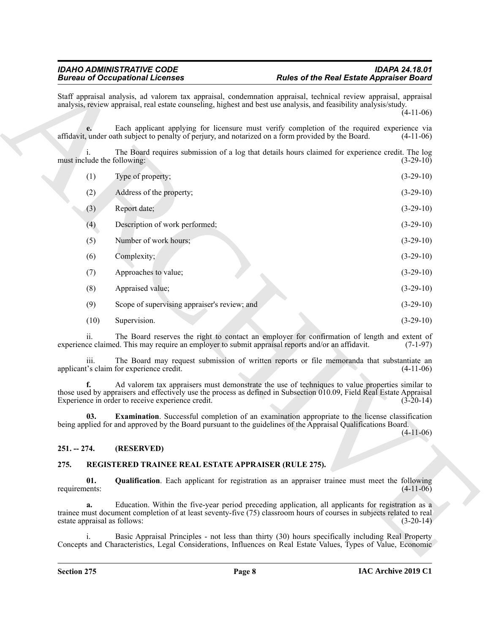|                                    | <b>Bureau of Occupational Licenses</b>                                                                         | <b>Rules of the Real Estate Appraiser Board</b>                                                                                                                                                                                         |             |
|------------------------------------|----------------------------------------------------------------------------------------------------------------|-----------------------------------------------------------------------------------------------------------------------------------------------------------------------------------------------------------------------------------------|-------------|
|                                    |                                                                                                                | Staff appraisal analysis, ad valorem tax appraisal, condemnation appraisal, technical review appraisal, appraisal<br>analysis, review appraisal, real estate counseling, highest and best use analysis, and feasibility analysis/study. | $(4-11-06)$ |
|                                    |                                                                                                                | Each applicant applying for licensure must verify completion of the required experience via<br>affidavit, under oath subject to penalty of perjury, and notarized on a form provided by the Board.                                      | $(4-11-06)$ |
| must include the following:        |                                                                                                                | The Board requires submission of a log that details hours claimed for experience credit. The log                                                                                                                                        | $(3-29-10)$ |
| (1)                                | Type of property;                                                                                              |                                                                                                                                                                                                                                         | $(3-29-10)$ |
| (2)                                | Address of the property;                                                                                       |                                                                                                                                                                                                                                         | $(3-29-10)$ |
| (3)                                | Report date;                                                                                                   |                                                                                                                                                                                                                                         | $(3-29-10)$ |
| (4)                                | Description of work performed;                                                                                 |                                                                                                                                                                                                                                         | $(3-29-10)$ |
| (5)                                | Number of work hours;                                                                                          |                                                                                                                                                                                                                                         | $(3-29-10)$ |
| (6)                                | Complexity;                                                                                                    |                                                                                                                                                                                                                                         | $(3-29-10)$ |
| (7)                                | Approaches to value;                                                                                           |                                                                                                                                                                                                                                         | $(3-29-10)$ |
| (8)                                | Appraised value;                                                                                               |                                                                                                                                                                                                                                         | $(3-29-10)$ |
| (9)                                | Scope of supervising appraiser's review; and                                                                   |                                                                                                                                                                                                                                         | $(3-29-10)$ |
| (10)                               | Supervision.                                                                                                   |                                                                                                                                                                                                                                         | $(3-29-10)$ |
| ii.                                |                                                                                                                | The Board reserves the right to contact an employer for confirmation of length and extent of<br>experience claimed. This may require an employer to submit appraisal reports and/or an affidavit.                                       | $(7-1-97)$  |
| 111.                               | applicant's claim for experience credit.                                                                       | The Board may request submission of written reports or file memoranda that substantiate an                                                                                                                                              | $(4-11-06)$ |
|                                    | Experience in order to receive experience credit.                                                              | Ad valorem tax appraisers must demonstrate the use of techniques to value properties similar to<br>those used by appraisers and effectively use the process as defined in Subsection 010.09, Field Real Estate Appraisal                | $(3-20-14)$ |
| 03.                                |                                                                                                                | <b>Examination</b> . Successful completion of an examination appropriate to the license classification<br>being applied for and approved by the Board pursuant to the guidelines of the Appraisal Qualifications Board.                 | $(4-11-06)$ |
| $251. - 274.$                      | (RESERVED)                                                                                                     |                                                                                                                                                                                                                                         |             |
| 275.                               | REGISTERED TRAINEE REAL ESTATE APPRAISER (RULE 275).                                                           |                                                                                                                                                                                                                                         |             |
| 01.<br>requirements:               |                                                                                                                | <b>Qualification</b> . Each applicant for registration as an appraiser trainee must meet the following                                                                                                                                  | $(4-11-06)$ |
| a.<br>estate appraisal as follows: |                                                                                                                | Education. Within the five-year period preceding application, all applicants for registration as a<br>trainee must document completion of at least seventy-five (75) classroom hours of courses in subjects related to real             | $(3-20-14)$ |
|                                    | Concepts and Characteristics, Legal Considerations, Influences on Real Estate Values, Types of Value, Economic | Basic Appraisal Principles - not less than thirty (30) hours specifically including Real Property                                                                                                                                       |             |

### <span id="page-7-4"></span><span id="page-7-0"></span>**251. -- 274. (RESERVED)**

### <span id="page-7-3"></span><span id="page-7-2"></span><span id="page-7-1"></span>**275. REGISTERED TRAINEE REAL ESTATE APPRAISER (RULE 275).**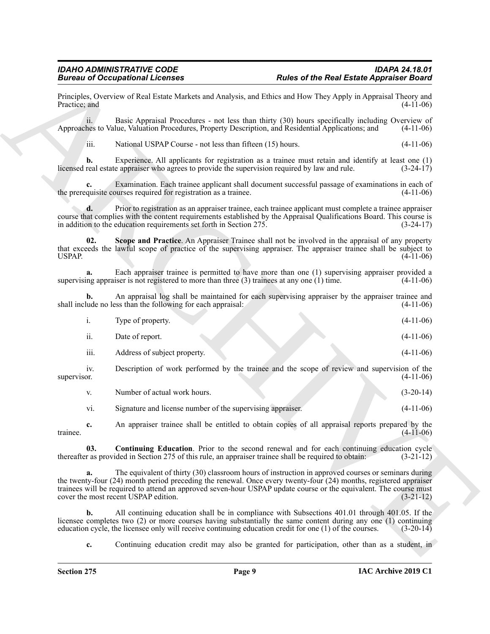|                    | <b>Bureau of Occupational Licenses</b>                                                                                                                                                                                                                                                                                                                                                | <b>Rules of the Real Estate Appraiser Board</b> |
|--------------------|---------------------------------------------------------------------------------------------------------------------------------------------------------------------------------------------------------------------------------------------------------------------------------------------------------------------------------------------------------------------------------------|-------------------------------------------------|
| Practice; and      | Principles, Overview of Real Estate Markets and Analysis, and Ethics and How They Apply in Appraisal Theory and                                                                                                                                                                                                                                                                       | $(4-11-06)$                                     |
| 11.                | Basic Appraisal Procedures - not less than thirty (30) hours specifically including Overview of<br>Approaches to Value, Valuation Procedures, Property Description, and Residential Applications; and                                                                                                                                                                                 | $(4-11-06)$                                     |
| iii.               | National USPAP Course - not less than fifteen (15) hours.                                                                                                                                                                                                                                                                                                                             | $(4-11-06)$                                     |
| b.                 | Experience. All applicants for registration as a trainee must retain and identify at least one (1)<br>licensed real estate appraiser who agrees to provide the supervision required by law and rule.                                                                                                                                                                                  | $(3-24-17)$                                     |
| c.                 | Examination. Each trainee applicant shall document successful passage of examinations in each of<br>the prerequisite courses required for registration as a trainee.                                                                                                                                                                                                                  | $(4-11-06)$                                     |
| d.                 | Prior to registration as an appraiser trainee, each trainee applicant must complete a trainee appraiser<br>course that complies with the content requirements established by the Appraisal Qualifications Board. This course is<br>in addition to the education requirements set forth in Section 275.                                                                                | $(3-24-17)$                                     |
| 02.<br>USPAP.      | Scope and Practice. An Appraiser Trainee shall not be involved in the appraisal of any property<br>that exceeds the lawful scope of practice of the supervising appraiser. The appraiser trainee shall be subject to                                                                                                                                                                  | $(4-11-06)$                                     |
| a.                 | Each appraiser trainee is permitted to have more than one (1) supervising appraiser provided a<br>supervising appraiser is not registered to more than three $(3)$ trainees at any one $(1)$ time.                                                                                                                                                                                    | $(4-11-06)$                                     |
| b.                 | An appraisal log shall be maintained for each supervising appraiser by the appraiser trainee and<br>shall include no less than the following for each appraisal:                                                                                                                                                                                                                      | $(4-11-06)$                                     |
| i.                 | Type of property.                                                                                                                                                                                                                                                                                                                                                                     | $(4-11-06)$                                     |
| ii.                | Date of report.                                                                                                                                                                                                                                                                                                                                                                       | $(4-11-06)$                                     |
| iii.               | Address of subject property.                                                                                                                                                                                                                                                                                                                                                          | $(4-11-06)$                                     |
| iv.<br>supervisor. | Description of work performed by the trainee and the scope of review and supervision of the                                                                                                                                                                                                                                                                                           | $(4-11-06)$                                     |
| V.                 | Number of actual work hours.                                                                                                                                                                                                                                                                                                                                                          | $(3-20-14)$                                     |
| vi.                | Signature and license number of the supervising appraiser.                                                                                                                                                                                                                                                                                                                            | $(4-11-06)$                                     |
| c.<br>trainee.     | An appraiser trainee shall be entitled to obtain copies of all appraisal reports prepared by the                                                                                                                                                                                                                                                                                      | $(4-11-06)$                                     |
| 03.                | <b>Continuing Education.</b> Prior to the second renewal and for each continuing education cycle<br>thereafter as provided in Section 275 of this rule, an appraiser trainee shall be required to obtain:                                                                                                                                                                             | $(3-21-12)$                                     |
| a.                 | The equivalent of thirty (30) classroom hours of instruction in approved courses or seminars during<br>the twenty-four (24) month period preceding the renewal. Once every twenty-four (24) months, registered appraiser<br>trainees will be required to attend an approved seven-hour USPAP update course or the equivalent. The course must<br>cover the most recent USPAP edition. | $(3-21-12)$                                     |
| b.                 | All continuing education shall be in compliance with Subsections 401.01 through 401.05. If the<br>licensee completes two (2) or more courses having substantially the same content during any one (1) continuing                                                                                                                                                                      |                                                 |
|                    | education cycle, the licensee only will receive continuing education credit for one (1) of the courses.                                                                                                                                                                                                                                                                               | $(3-20-14)$                                     |

<span id="page-8-1"></span><span id="page-8-0"></span>

| Number of actual work hours.                               | $(3-20-14)$ |
|------------------------------------------------------------|-------------|
| Signature and license number of the supervising appraiser. | $(4-11-06)$ |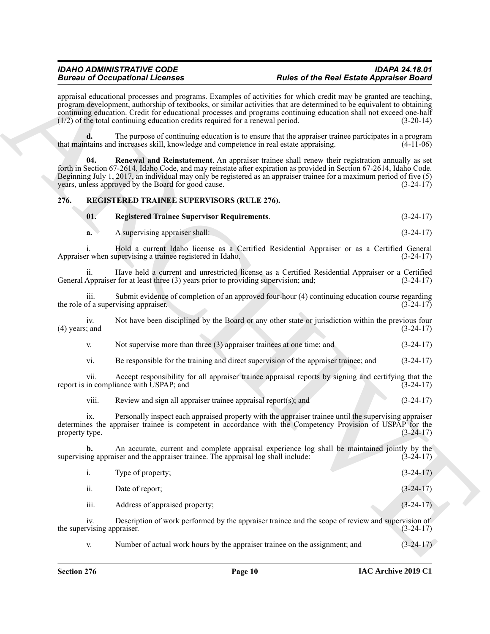### <span id="page-9-0"></span>**276. REGISTERED TRAINEE SUPERVISORS (RULE 276).**

<span id="page-9-3"></span><span id="page-9-2"></span><span id="page-9-1"></span>

| 01. | <b>Registered Trainee Supervisor Requirements.</b> | $(3-24-17)$ |
|-----|----------------------------------------------------|-------------|
|-----|----------------------------------------------------|-------------|

| a. | A supervising appraiser shall: |  | $(3-24-17)$ |  |
|----|--------------------------------|--|-------------|--|
|----|--------------------------------|--|-------------|--|

- v. Not supervise more than three (3) appraiser trainees at one time; and (3-24-17)
- vi. Be responsible for the training and direct supervision of the appraiser trainee; and (3-24-17)

|                                   | <b>Bureau of Occupational Licenses</b>                                                  | <b>Rules of the Real Estate Appraiser Board</b>                                                                                                                                                                                                                                                                                                                                  |  |
|-----------------------------------|-----------------------------------------------------------------------------------------|----------------------------------------------------------------------------------------------------------------------------------------------------------------------------------------------------------------------------------------------------------------------------------------------------------------------------------------------------------------------------------|--|
|                                   | (1/2) of the total continuing education credits required for a renewal period.          | appraisal educational processes and programs. Examples of activities for which credit may be granted are teaching,<br>program development, authorship of textbooks, or similar activities that are determined to be equivalent to obtaining<br>continuing education. Credit for educational processes and programs continuing education shall not exceed one-half<br>$(3-20-14)$ |  |
|                                   | that maintains and increases skill, knowledge and competence in real estate appraising. | The purpose of continuing education is to ensure that the appraiser trainee participates in a program<br>$(4-11-06)$                                                                                                                                                                                                                                                             |  |
| 04.                               | years, unless approved by the Board for good cause.                                     | Renewal and Reinstatement. An appraiser trainee shall renew their registration annually as set<br>forth in Section 67-2614, Idaho Code, and may reinstate after expiration as provided in Section 67-2614, Idaho Code.<br>Beginning July 1, 2017, an individual may only be registered as an appraiser trainee for a maximum period of five (5)<br>$(3-24-17)$                   |  |
| 276.                              | REGISTERED TRAINEE SUPERVISORS (RULE 276).                                              |                                                                                                                                                                                                                                                                                                                                                                                  |  |
| 01.                               | <b>Registered Trainee Supervisor Requirements.</b>                                      | $(3-24-17)$                                                                                                                                                                                                                                                                                                                                                                      |  |
| a.                                | A supervising appraiser shall:                                                          | $(3-24-17)$                                                                                                                                                                                                                                                                                                                                                                      |  |
|                                   | Appraiser when supervising a trainee registered in Idaho.                               | Hold a current Idaho license as a Certified Residential Appraiser or as a Certified General<br>$(3-24-17)$                                                                                                                                                                                                                                                                       |  |
| ii.                               | General Appraiser for at least three (3) years prior to providing supervision; and;     | Have held a current and unrestricted license as a Certified Residential Appraiser or a Certified<br>$(3-24-17)$                                                                                                                                                                                                                                                                  |  |
| iii.                              | the role of a supervising appraiser.                                                    | Submit evidence of completion of an approved four-hour (4) continuing education course regarding<br>$(3-24-17)$                                                                                                                                                                                                                                                                  |  |
| iv.<br>$(4)$ years; and           |                                                                                         | Not have been disciplined by the Board or any other state or jurisdiction within the previous four<br>$(3-24-17)$                                                                                                                                                                                                                                                                |  |
| V.                                | Not supervise more than three (3) appraiser trainees at one time; and                   | $(3-24-17)$                                                                                                                                                                                                                                                                                                                                                                      |  |
| vi.                               | Be responsible for the training and direct supervision of the appraiser trainee; and    | $(3-24-17)$                                                                                                                                                                                                                                                                                                                                                                      |  |
| V11.                              | report is in compliance with USPAP; and                                                 | Accept responsibility for all appraiser trainee appraisal reports by signing and certifying that the<br>$(3-24-17)$                                                                                                                                                                                                                                                              |  |
| viii.                             | Review and sign all appraiser trainee appraisal report $(s)$ ; and                      | $(3-24-17)$                                                                                                                                                                                                                                                                                                                                                                      |  |
| 1X.<br>property type.             |                                                                                         | Personally inspect each appraised property with the appraiser trainee until the supervising appraiser<br>determines the appraiser trainee is competent in accordance with the Competency Provision of USPAP for the<br>$(3-24-17)$                                                                                                                                               |  |
| b.                                | supervising appraiser and the appraiser trainee. The appraisal log shall include:       | An accurate, current and complete appraisal experience log shall be maintained jointly by the<br>$(3-24-17)$                                                                                                                                                                                                                                                                     |  |
| i.                                | Type of property;                                                                       | $(3-24-17)$                                                                                                                                                                                                                                                                                                                                                                      |  |
| ii.                               | Date of report;                                                                         | $(3-24-17)$                                                                                                                                                                                                                                                                                                                                                                      |  |
| iii.                              | Address of appraised property;                                                          | $(3-24-17)$                                                                                                                                                                                                                                                                                                                                                                      |  |
| iv.<br>the supervising appraiser. |                                                                                         | Description of work performed by the appraiser trainee and the scope of review and supervision of<br>$(3-24-17)$                                                                                                                                                                                                                                                                 |  |
| V.                                | Number of actual work hours by the appraiser trainee on the assignment; and             | $(3-24-17)$                                                                                                                                                                                                                                                                                                                                                                      |  |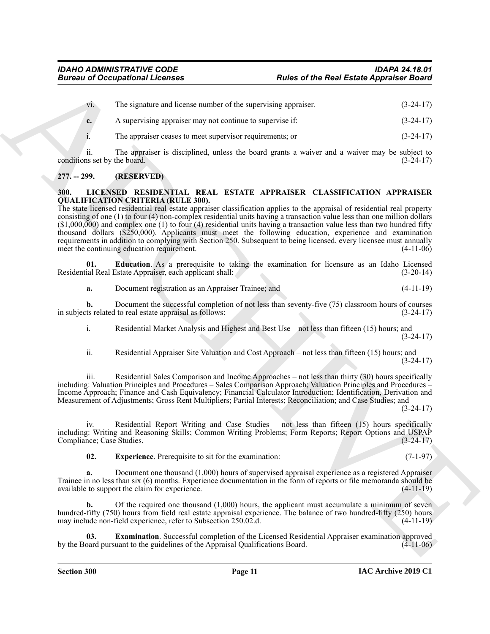vi. The signature and license number of the supervising appraiser. (3-24-17) **c.** A supervising appraiser may not continue to supervise if: (3-24-17)

i. The appraiser ceases to meet supervisor requirements; or (3-24-17)

ii. The appraiser is disciplined, unless the board grants a waiver and a waiver may be subject to conditions set by the board. (3-24-17)

### <span id="page-10-0"></span>**277. -- 299. (RESERVED)**

#### <span id="page-10-2"></span><span id="page-10-1"></span>**300. LICENSED RESIDENTIAL REAL ESTATE APPRAISER CLASSIFICATION APPRAISER QUALIFICATION CRITERIA (RULE 300).**

**Eurosis of Occupations I.** Release of the Real Easter Appendix Board<br>
The signature and looking interactions control of the signature and the signature of the Real Easter Appendix Board<br>
A representation point of the sig The state licensed residential real estate appraiser classification applies to the appraisal of residential real property consisting of one (1) to four (4) non-complex residential units having a transaction value less than one million dollars  $(1,000,000)$  and complex one (1) to four (4) residential units having a transaction value less than two hundred fifty thousand dollars (\$250,000). Applicants must meet the following education, experience and examination requirements in addition to complying with Section 250. Subsequent to being licensed, every licensee must annually meet the continuing education requirement. (4-11-06)

**01. Education**. As a prerequisite to taking the examination for licensure as an Idaho Licensed ial Real Estate Appraiser, each applicant shall: (3-20-14) Residential Real Estate Appraiser, each applicant shall:

<span id="page-10-3"></span>**a.** Document registration as an Appraiser Trainee; and (4-11-19)

**b.** Document the successful completion of not less than seventy-five (75) classroom hours of courses that related to real estate appraisal as follows:  $(3-24-17)$ in subjects related to real estate appraisal as follows:

i. Residential Market Analysis and Highest and Best Use – not less than fifteen (15) hours; and (3-24-17)

ii. Residential Appraiser Site Valuation and Cost Approach – not less than fifteen (15) hours; and (3-24-17)

iii. Residential Sales Comparison and Income Approaches – not less than thirty (30) hours specifically including: Valuation Principles and Procedures – Sales Comparison Approach; Valuation Principles and Procedures – Income Approach; Finance and Cash Equivalency; Financial Calculator Introduction; Identification, Derivation and Measurement of Adjustments; Gross Rent Multipliers; Partial Interests; Reconciliation; and Case Studies; and

(3-24-17)

iv. Residential Report Writing and Case Studies – not less than fifteen (15) hours specifically including: Writing and Reasoning Skills; Common Writing Problems; Form Reports; Report Options and USPAP Compliance; Case Studies.

<span id="page-10-5"></span>**02.** Experience. Prerequisite to sit for the examination: (7-1-97)

**a.** Document one thousand (1,000) hours of supervised appraisal experience as a registered Appraiser Trainee in no less than six (6) months. Experience documentation in the form of reports or file memoranda should be available to support the claim for experience. available to support the claim for experience.

**b.** Of the required one thousand (1,000) hours, the applicant must accumulate a minimum of seven hundred-fifty (750) hours from field real estate appraisal experience. The balance of two hundred-fifty (250) hours may include non-field experience, refer to Subsection 250.02.d. (4-11-19)

<span id="page-10-4"></span>**03. Examination**. Successful completion of the Licensed Residential Appraiser examination approved by the Board pursuant to the guidelines of the Appraisal Qualifications Board. (4-11-06)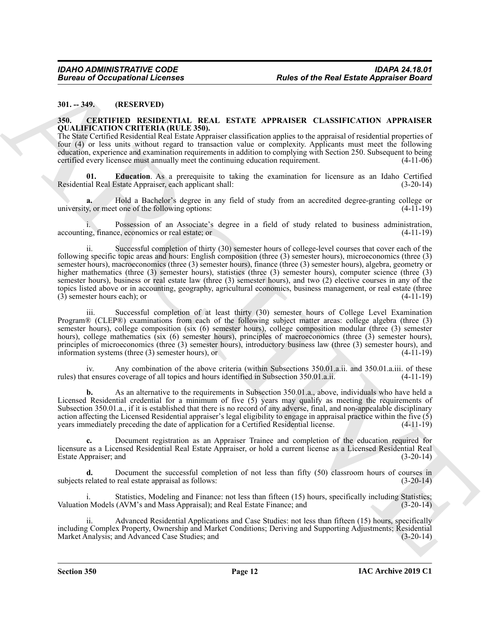#### <span id="page-11-0"></span>**301. -- 349. (RESERVED)**

#### <span id="page-11-2"></span><span id="page-11-1"></span>**350. CERTIFIED RESIDENTIAL REAL ESTATE APPRAISER CLASSIFICATION APPRAISER QUALIFICATION CRITERIA (RULE 350).**

The State Certified Residential Real Estate Appraiser classification applies to the appraisal of residential properties of four (4) or less units without regard to transaction value or complexity. Applicants must meet the following education, experience and examination requirements in addition to complying with Section 250. Subsequent to being certified every licensee must annually meet the continuing education requirement. (4-11-06)

<span id="page-11-3"></span>**01. Education**. As a prerequisite to taking the examination for licensure as an Idaho Certified Residential Real Estate Appraiser, each applicant shall: (3-20-14)

**a.** Hold a Bachelor's degree in any field of study from an accredited degree-granting college or university, or meet one of the following options: (4-11-19)

i. Possession of an Associate's degree in a field of study related to business administration, accounting, finance, economics or real estate; or (4-11-19)

Bureau of Occupations I. Fourth 1992.<br>
Multiple Contribute Descriptions I. Real Estate Appearance Board<br>
Multiple Descriptions Inc. (ERECT) and the state of the SNATE APPLAINER CLASSIFICATION APPLAINER<br>
SOLUTION DESCRIPTI Successful completion of thirty (30) semester hours of college-level courses that cover each of the following specific topic areas and hours: English composition (three (3) semester hours), microeconomics (three (3) semester hours), macroeconomics (three (3) semester hours), finance (three (3) semester hours), algebra, geometry or higher mathematics (three (3) semester hours), statistics (three (3) semester hours), computer science (three (3) semester hours), business or real estate law (three (3) semester hours), and two (2) elective courses in any of the topics listed above or in accounting, geography, agricultural economics, business management, or real estate (three<br>(3) semester hours each); or (4-11-19)  $(3)$  semester hours each); or

iii. Successful completion of at least thirty (30) semester hours of College Level Examination Program® (CLEP®) examinations from each of the following subject matter areas: college algebra (three (3) semester hours), college composition (six (6) semester hours), college composition modular (three (3) semester hours), college mathematics (six (6) semester hours), principles of macroeconomics (three (3) semester hours), principles of microeconomics (three (3) semester hours), introductory business law (three (3) semester hours), and information systems (three (3) semester hours), or (4-11-19)

iv. Any combination of the above criteria (within Subsections 350.01.a.ii. and 350.01.a.iii. of these rules) that ensures coverage of all topics and hours identified in Subsection 350.01.a.ii. (4-11-19)

**b.** As an alternative to the requirements in Subsection 350.01.a., above, individuals who have held a Licensed Residential credential for a minimum of five (5) years may qualify as meeting the requirements of Subsection 350.01.a., if it is established that there is no record of any adverse, final, and non-appealable disciplinary action affecting the Licensed Residential appraiser's legal eligibility to engage in appraisal practice within the five  $(5)$ years immediately preceding the date of application for a Certified Residential license. (4-11-19)

**c.** Document registration as an Appraiser Trainee and completion of the education required for licensure as a Licensed Residential Real Estate Appraiser, or hold a current license as a Licensed Residential Real Estate Appraiser; and

Document the successful completion of not less than fifty (50) classroom hours of courses in real estate appraisal as follows:  $(3-20-14)$ subjects related to real estate appraisal as follows:

i. Statistics, Modeling and Finance: not less than fifteen (15) hours, specifically including Statistics; Valuation Models (AVM's and Mass Appraisal); and Real Estate Finance; and (3-20-14)

Advanced Residential Applications and Case Studies: not less than fifteen (15) hours, specifically including Complex Property, Ownership and Market Conditions; Deriving and Supporting Adjustments; Residential Market Analysis; and Advanced Case Studies; and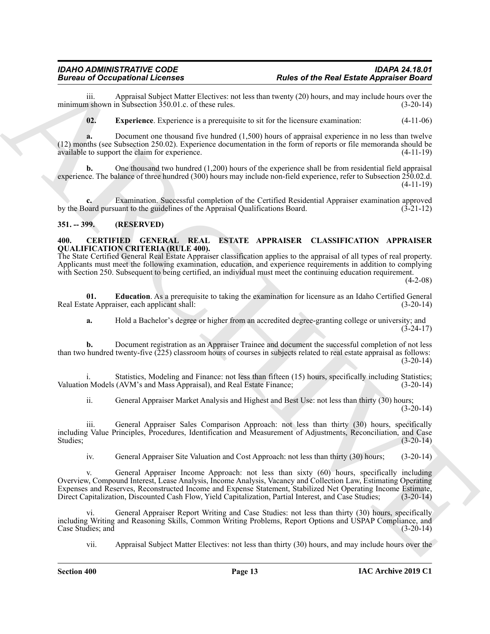## *IDAHO ADMINISTRATIVE CODE IDAPA 24.18.01*

iii. Appraisal Subject Matter Electives: not less than twenty (20) hours, and may include hours over the a shown in Subsection 350.01.c. of these rules. minimum shown in Subsection  $350.01$ .c. of these rules.

<span id="page-12-4"></span>**02. Experience**. Experience is a prerequisite to sit for the licensure examination: (4-11-06)

**a.** Document one thousand five hundred (1,500) hours of appraisal experience in no less than twelve (12) months (see Subsection 250.02). Experience documentation in the form of reports or file memoranda should be available to support the claim for experience. (4-11-19)

**b.** One thousand two hundred (1,200) hours of the experience shall be from residential field appraisal experience. The balance of three hundred (300) hours may include non-field experience, refer to Subsection 250.02.d. (4-11-19)

**c.** Examination. Successful completion of the Certified Residential Appraiser examination approved by the Board pursuant to the guidelines of the Appraisal Qualifications Board. (3-21-12)

### <span id="page-12-0"></span>**351. -- 399. (RESERVED)**

#### <span id="page-12-2"></span><span id="page-12-1"></span>**400. CERTIFIED GENERAL REAL ESTATE APPRAISER CLASSIFICATION APPRAISER QUALIFICATION CRITERIA (RULE 400).**

The State Certified General Real Estate Appraiser classification applies to the appraisal of all types of real property. Applicants must meet the following examination, education, and experience requirements in addition to complying with Section 250. Subsequent to being certified, an individual must meet the continuing education requirement.

 $(4-2-08)$ 

**01. Education**. As a prerequisite to taking the examination for licensure as an Idaho Certified General Real Estate Appraiser, each applicant shall: (3-20-14)

<span id="page-12-3"></span>**a.** Hold a Bachelor's degree or higher from an accredited degree-granting college or university; and (3-24-17)

**b.** Document registration as an Appraiser Trainee and document the successful completion of not less than two hundred twenty-five (225) classroom hours of courses in subjects related to real estate appraisal as follows:  $(3-20-14)$ 

i. Statistics, Modeling and Finance: not less than fifteen (15) hours, specifically including Statistics;<br>n Models (AVM's and Mass Appraisal), and Real Estate Finance: (3-20-14) Valuation Models (AVM's and Mass Appraisal), and Real Estate Finance;

ii. General Appraiser Market Analysis and Highest and Best Use: not less than thirty (30) hours;  $(3-20-14)$ 

iii. General Appraiser Sales Comparison Approach: not less than thirty (30) hours, specifically including Value Principles, Procedures, Identification and Measurement of Adjustments, Reconciliation, and Case Studies; (3-20-14)

iv. General Appraiser Site Valuation and Cost Approach: not less than thirty (30) hours; (3-20-14)

Bureau in Appendix Licensins and the Real Estate Appendix Participa and the Real Estate Appendix Participa and the Control of the Real Appendix Participa and the Control of the Control of the Control of the Control of the General Appraiser Income Approach: not less than sixty (60) hours, specifically including Overview, Compound Interest, Lease Analysis, Income Analysis, Vacancy and Collection Law, Estimating Operating Expenses and Reserves, Reconstructed Income and Expense Statement, Stabilized Net Operating Income Estimate, Direct Capitalization, Discounted Cash Flow, Yield Capitalization, Partial Interest, and Case Studies; (3-20-14)

vi. General Appraiser Report Writing and Case Studies: not less than thirty (30) hours, specifically including Writing and Reasoning Skills, Common Writing Problems, Report Options and USPAP Compliance, and Case Studies; and

vii. Appraisal Subject Matter Electives: not less than thirty (30) hours, and may include hours over the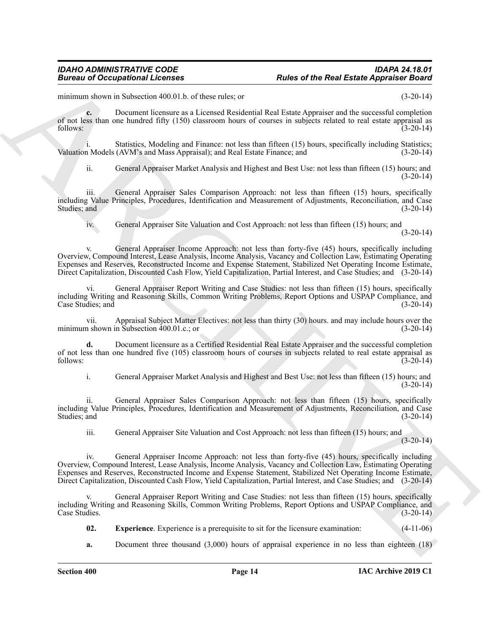minimum shown in Subsection 400.01.b. of these rules; or (3-20-14)

**c.** Document licensure as a Licensed Residential Real Estate Appraiser and the successful completion of not less than one hundred fifty (150) classroom hours of courses in subjects related to real estate appraisal as follows: (3-20-14)

i. Statistics, Modeling and Finance: not less than fifteen (15) hours, specifically including Statistics; Valuation Models (AVM's and Mass Appraisal); and Real Estate Finance; and (3-20-14)

ii. General Appraiser Market Analysis and Highest and Best Use: not less than fifteen (15) hours; and  $(3-20-14)$ 

iii. General Appraiser Sales Comparison Approach: not less than fifteen (15) hours, specifically including Value Principles, Procedures, Identification and Measurement of Adjustments, Reconciliation, and Case Studies; and (3-20-14) (3-20-14)

iv. General Appraiser Site Valuation and Cost Approach: not less than fifteen (15) hours; and (3-20-14)

Bureau al Oceanicson al Licensis<br>
maine when the Rost Easter Appendix Paint<br>
maintain the stock of the Rost Easter Appendix Paint<br>
maintain the stock of the State Control of the State Control of the State Control of the s v. General Appraiser Income Approach: not less than forty-five (45) hours, specifically including Overview, Compound Interest, Lease Analysis, Income Analysis, Vacancy and Collection Law, Estimating Operating Expenses and Reserves, Reconstructed Income and Expense Statement, Stabilized Net Operating Income Estimate, Direct Capitalization, Discounted Cash Flow, Yield Capitalization, Partial Interest, and Case Studies; and (3-20-14)

General Appraiser Report Writing and Case Studies: not less than fifteen (15) hours, specifically including Writing and Reasoning Skills, Common Writing Problems, Report Options and USPAP Compliance, and Case Studies; and (3-20-14)

vii. Appraisal Subject Matter Electives: not less than thirty (30) hours. and may include hours over the minimum shown in Subsection 400.01.c.; or (3-20-14)

**d.** Document licensure as a Certified Residential Real Estate Appraiser and the successful completion of not less than one hundred five (105) classroom hours of courses in subjects related to real estate appraisal as follows: (3-20-14)

i. General Appraiser Market Analysis and Highest and Best Use: not less than fifteen (15) hours; and  $(3-20-14)$ 

ii. General Appraiser Sales Comparison Approach: not less than fifteen (15) hours, specifically including Value Principles, Procedures, Identification and Measurement of Adjustments, Reconciliation, and Case Studies; and (3-20-14)

iii. General Appraiser Site Valuation and Cost Approach: not less than fifteen (15) hours; and

(3-20-14)

iv. General Appraiser Income Approach: not less than forty-five (45) hours, specifically including Overview, Compound Interest, Lease Analysis, Income Analysis, Vacancy and Collection Law, Estimating Operating Expenses and Reserves, Reconstructed Income and Expense Statement, Stabilized Net Operating Income Estimate, Direct Capitalization, Discounted Cash Flow, Yield Capitalization, Partial Interest, and Case Studies; and (3-20-14)

General Appraiser Report Writing and Case Studies: not less than fifteen (15) hours, specifically including Writing and Reasoning Skills, Common Writing Problems, Report Options and USPAP Compliance, and Case Studies. (3-20-14)

<span id="page-13-0"></span>**02. Experience**. Experience is a prerequisite to sit for the licensure examination: (4-11-06)

**a.** Document three thousand (3,000) hours of appraisal experience in no less than eighteen (18)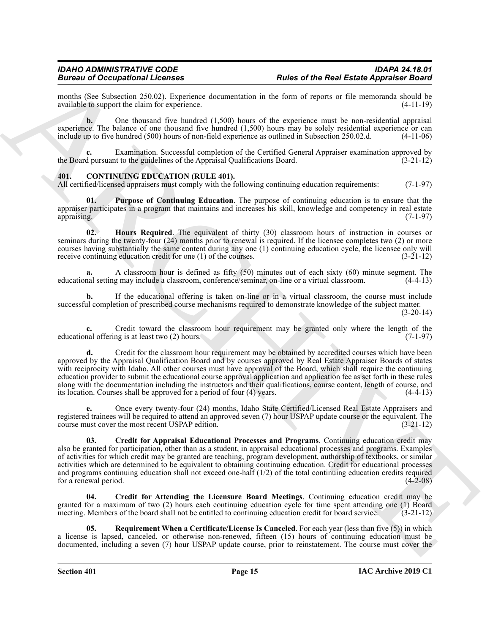months (See Subsection 250.02). Experience documentation in the form of reports or file memoranda should be available to support the claim for experience. (4-11-19) available to support the claim for experience.

**b.** One thousand five hundred (1,500) hours of the experience must be non-residential appraisal experience. The balance of one thousand five hundred (1,500) hours may be solely residential experience or can include up to five hundred (500) hours of non-field experience as outlined in Subsection 250.02.d. (4-11-06)

Examination. Successful completion of the Certified General Appraiser examination approved by the Board pursuant to the guidelines of the Appraisal Qualifications Board. (3-21-12)

#### <span id="page-14-1"></span><span id="page-14-0"></span>**401. CONTINUING EDUCATION (RULE 401).**

All certified/licensed appraisers must comply with the following continuing education requirements: (7-1-97)

<span id="page-14-5"></span>**01. Purpose of Continuing Education**. The purpose of continuing education is to ensure that the appraiser participates in a program that maintains and increases his skill, knowledge and competency in real estate appraising. (7-1-97) appraising. (7-1-97)

<span id="page-14-4"></span>**02. Hours Required**. The equivalent of thirty (30) classroom hours of instruction in courses or seminars during the twenty-four (24) months prior to renewal is required. If the licensee completes two (2) or more courses having substantially the same content during any one (1) continuing education cycle, the licensee only will receive continuing education credit for one (1) of the courses. (3-21-12)

**a.** A classroom hour is defined as fifty (50) minutes out of each sixty (60) minute segment. The educational setting may include a classroom, conference/seminar, on-line or a virtual classroom. (4-4-13)

**b.** If the educational offering is taken on-line or in a virtual classroom, the course must include successful completion of prescribed course mechanisms required to demonstrate knowledge of the subject matter. (3-20-14)

**c.** Credit toward the classroom hour requirement may be granted only where the length of the nal offering is at least two (2) hours. (7-1-97) educational offering is at least two  $(2)$  hours.

Bruce of the Real Easter Appendix Theorem. **Rates of the Real Easter Appendix Theorem.**<br>
Such as the state for experiment determined to the form of representation of the form of the state of the state of the form of the s **d.** Credit for the classroom hour requirement may be obtained by accredited courses which have been approved by the Appraisal Qualification Board and by courses approved by Real Estate Appraiser Boards of states with reciprocity with Idaho. All other courses must have approval of the Board, which shall require the continuing education provider to submit the educational course approval application and application fee as set forth in these rules along with the documentation including the instructors and their qualifications, course content, length of course, and its location. Courses shall be approved for a period of four (4) years. (4-4-13) its location. Courses shall be approved for a period of four  $(4)$  years.

**e.** Once every twenty-four (24) months, Idaho State Certified/Licensed Real Estate Appraisers and registered trainees will be required to attend an approved seven (7) hour USPAP update course or the equivalent. The course must cover the most recent USPAP edition. (3-21-12)

<span id="page-14-2"></span>**03. Credit for Appraisal Educational Processes and Programs**. Continuing education credit may also be granted for participation, other than as a student, in appraisal educational processes and programs. Examples of activities for which credit may be granted are teaching, program development, authorship of textbooks, or similar activities which are determined to be equivalent to obtaining continuing education. Credit for educational processes and programs continuing education shall not exceed one-half (1/2) of the total continuing education credits required for a renewal period. (4-2-08)

<span id="page-14-3"></span>**04. Credit for Attending the Licensure Board Meetings**. Continuing education credit may be granted for a maximum of two (2) hours each continuing education cycle for time spent attending one (1) Board meeting. Members of the board shall not be entitled to continuing education credit for board service. (3-21-12)

<span id="page-14-6"></span>**05. Requirement When a Certificate/License Is Canceled**. For each year (less than five (5)) in which a license is lapsed, canceled, or otherwise non-renewed, fifteen (15) hours of continuing education must be documented, including a seven (7) hour USPAP update course, prior to reinstatement. The course must cover the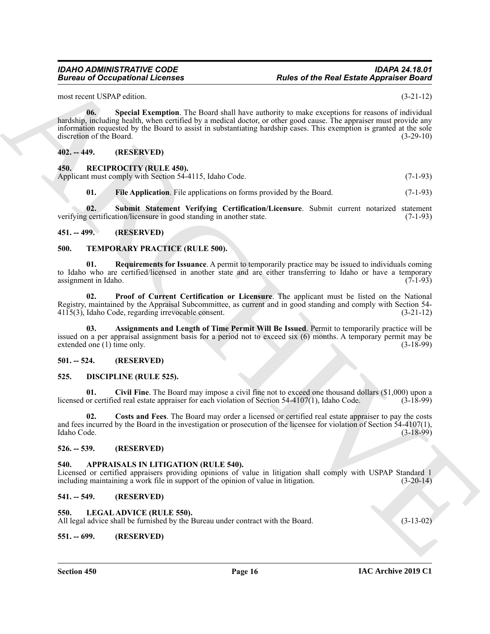<span id="page-15-12"></span>most recent USPAP edition. (3-21-12)

Bureau of Occupations I. Februari<br>
20. The state of the Real Easte Appendix Board<br>
20. The state of the Real Easte Appendix Board<br>
20. The state of the State of the State of the State of the State of the State<br>
20. The st **06. Special Exemption**. The Board shall have authority to make exceptions for reasons of individual hardship, including health, when certified by a medical doctor, or other good cause. The appraiser must provide any information requested by the Board to assist in substantiating hardship cases. This exemption is granted at the sole discretion of the Board. (3-29-10)

#### <span id="page-15-0"></span>**402. -- 449. (RESERVED)**

#### <span id="page-15-17"></span><span id="page-15-1"></span>**450. RECIPROCITY (RULE 450).**

Applicant must comply with Section 54-4115, Idaho Code. (7-1-93)

<span id="page-15-19"></span><span id="page-15-18"></span>**01. File Application**. File applications on forms provided by the Board. (7-1-93)

**02. Submit Statement Verifying Certification/Licensure**. Submit current notarized statement verifying certification/licensure in good standing in another state. (7-1-93)

#### <span id="page-15-2"></span>**451. -- 499. (RESERVED)**

#### <span id="page-15-20"></span><span id="page-15-3"></span>**500. TEMPORARY PRACTICE (RULE 500).**

<span id="page-15-23"></span>**01. Requirements for Issuance**. A permit to temporarily practice may be issued to individuals coming to Idaho who are certified/licensed in another state and are either transferring to Idaho or have a temporary assignment in Idaho. (7-1-93)

<span id="page-15-22"></span>**02. Proof of Current Certification or Licensure**. The applicant must be listed on the National Registry, maintained by the Appraisal Subcommittee, as current and in good standing and comply with Section 54- 4115(3), Idaho Code, regarding irrevocable consent. (3-21-12)

<span id="page-15-21"></span>**03. Assignments and Length of Time Permit Will Be Issued**. Permit to temporarily practice will be issued on a per appraisal assignment basis for a period not to exceed six (6) months. A temporary permit may be extended one  $(1)$  time only.

#### <span id="page-15-4"></span>**501. -- 524. (RESERVED)**

#### <span id="page-15-13"></span><span id="page-15-5"></span>**525. DISCIPLINE (RULE 525).**

<span id="page-15-14"></span>**01. Civil Fine**. The Board may impose a civil fine not to exceed one thousand dollars (\$1,000) upon a licensed or certified real estate appraiser for each violation of Section 54-4107(1), Idaho Code. (3-18-99)

<span id="page-15-15"></span>**02. Costs and Fees**. The Board may order a licensed or certified real estate appraiser to pay the costs and fees incurred by the Board in the investigation or prosecution of the licensee for violation of Section 54-4107(1), Idaho Code. (3-18-99)

#### <span id="page-15-6"></span>**526. -- 539. (RESERVED)**

#### <span id="page-15-11"></span><span id="page-15-7"></span>**540. APPRAISALS IN LITIGATION (RULE 540).**

Licensed or certified appraisers providing opinions of value in litigation shall comply with USPAP Standard 1 including maintaining a work file in support of the opinion of value in litigation. (3-20-14) including maintaining a work file in support of the opinion of value in litigation.

#### <span id="page-15-8"></span>**541. -- 549. (RESERVED)**

<span id="page-15-10"></span>**551. -- 699. (RESERVED)**

#### <span id="page-15-16"></span><span id="page-15-9"></span>**550. LEGAL ADVICE (RULE 550).**

All legal advice shall be furnished by the Bureau under contract with the Board. (3-13-02)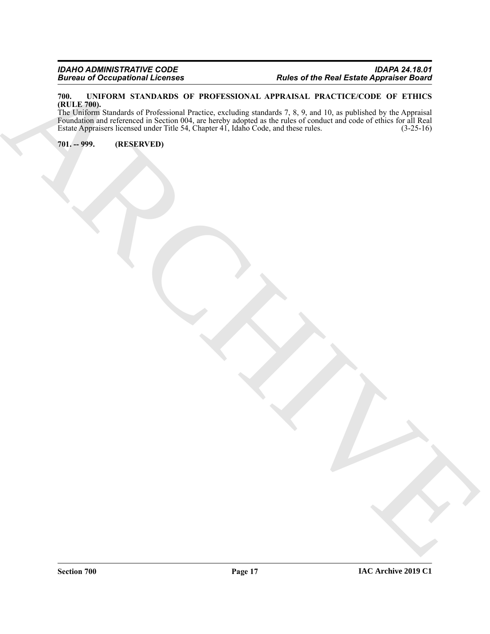#### <span id="page-16-2"></span><span id="page-16-0"></span>**700. UNIFORM STANDARDS OF PROFESSIONAL APPRAISAL PRACTICE/CODE OF ETHICS (RULE 700).**

Financial Conception of Helion of Provides United States Appendix Results<br>
The Linds of the Results and States Conception of Provides United States (1976)<br>
The ARCHIVED STATES (Cape of Color Conception of December 2019)<br>
T The Uniform Standards of Professional Practice, excluding standards 7, 8, 9, and 10, as published by the Appraisal Foundation and referenced in Section 004, are hereby adopted as the rules of conduct and code of ethics for all Real Estate Appraisers licensed under Title 54, Chapter 41, Idaho Code, and these rules. (3-25-16)

<span id="page-16-1"></span>**701. -- 999. (RESERVED)**